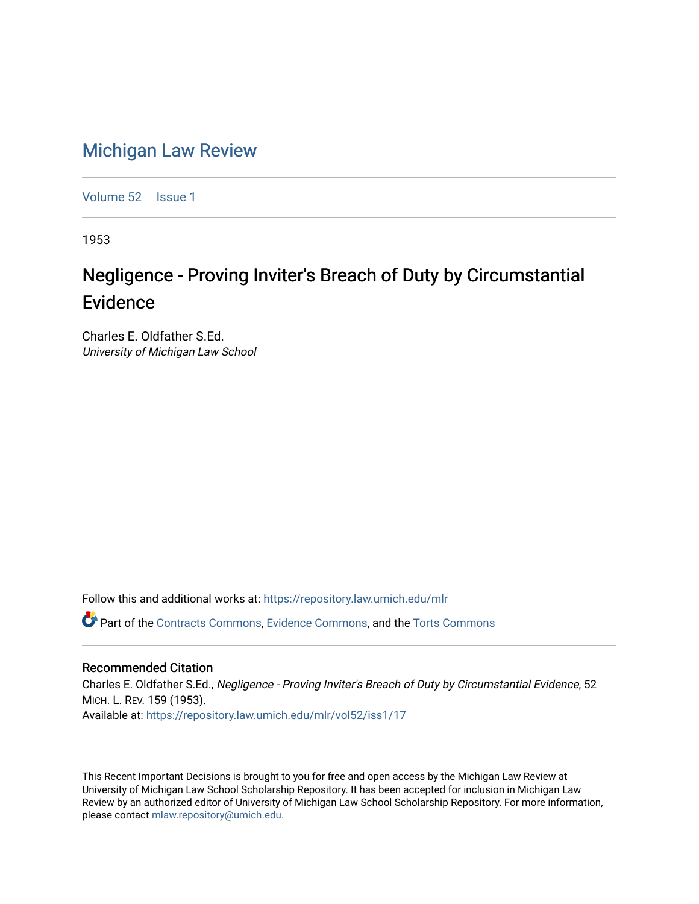## [Michigan Law Review](https://repository.law.umich.edu/mlr)

[Volume 52](https://repository.law.umich.edu/mlr/vol52) | [Issue 1](https://repository.law.umich.edu/mlr/vol52/iss1)

1953

## Negligence - Proving Inviter's Breach of Duty by Circumstantial Evidence

Charles E. Oldfather S.Ed. University of Michigan Law School

Follow this and additional works at: [https://repository.law.umich.edu/mlr](https://repository.law.umich.edu/mlr?utm_source=repository.law.umich.edu%2Fmlr%2Fvol52%2Fiss1%2F17&utm_medium=PDF&utm_campaign=PDFCoverPages) 

Part of the [Contracts Commons](http://network.bepress.com/hgg/discipline/591?utm_source=repository.law.umich.edu%2Fmlr%2Fvol52%2Fiss1%2F17&utm_medium=PDF&utm_campaign=PDFCoverPages), [Evidence Commons,](http://network.bepress.com/hgg/discipline/601?utm_source=repository.law.umich.edu%2Fmlr%2Fvol52%2Fiss1%2F17&utm_medium=PDF&utm_campaign=PDFCoverPages) and the [Torts Commons](http://network.bepress.com/hgg/discipline/913?utm_source=repository.law.umich.edu%2Fmlr%2Fvol52%2Fiss1%2F17&utm_medium=PDF&utm_campaign=PDFCoverPages) 

## Recommended Citation

Charles E. Oldfather S.Ed., Negligence - Proving Inviter's Breach of Duty by Circumstantial Evidence, 52 MICH. L. REV. 159 (1953). Available at: [https://repository.law.umich.edu/mlr/vol52/iss1/17](https://repository.law.umich.edu/mlr/vol52/iss1/17?utm_source=repository.law.umich.edu%2Fmlr%2Fvol52%2Fiss1%2F17&utm_medium=PDF&utm_campaign=PDFCoverPages) 

This Recent Important Decisions is brought to you for free and open access by the Michigan Law Review at University of Michigan Law School Scholarship Repository. It has been accepted for inclusion in Michigan Law Review by an authorized editor of University of Michigan Law School Scholarship Repository. For more information, please contact [mlaw.repository@umich.edu.](mailto:mlaw.repository@umich.edu)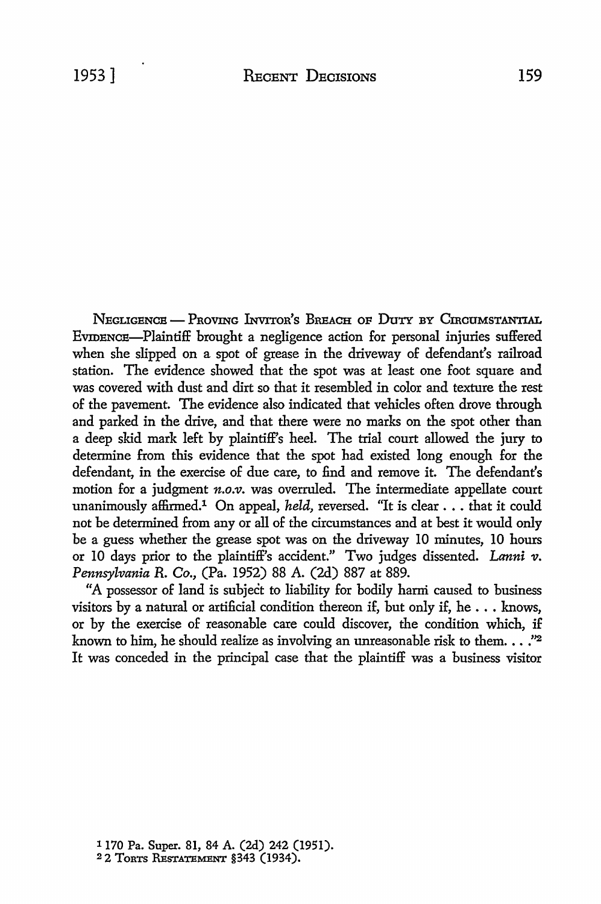NEGLIGENCE - PROVING INVITOR'S BREACH OF DUTY BY CIRCUMSTANTIAL EVIDENCE-Plaintiff brought a negligence action for personal injuries suffered when she slipped on a spot of grease in the driveway of defendant's railroad station. The evidence showed that the spot was at least one foot square and was covered with dust and dirt so that it resembled in color and texture the rest of the pavement. The evidence also indicated that vehicles often drove through and parked in the drive, and that there were no marks on the spot other than a deep skid mark left by plaintiff's heel. The trial court allowed the jury to determine from this evidence that the spot had existed long enough for the defendant, in the exercise of due care, to find and remove it. The defendant's motion for a judgment *n.o.v.* was overruled. The intermediate appellate court unanimously affirmed.<sup>1</sup> On appeal, *held*, reversed. "It is clear . . . that it could not be determined from any or all of the circumstances and at best it would only be a guess whether the grease spot was on the driveway IO minutes, IO hours or 10 days prior to the plaintiff's accident." Two judges dissented. *Lanni v*. *Pennsylvania* R. *Co.,* (Pa. 1952) 88 A. (2d) 887 at 889.

"A possessor of land is subject to liability for bodily hami caused to business visitors by a natural or artificial condition thereon if, but only if, he  $\dots$  knows, or by the exercise of reasonable care could discover, the condition which, if known to him, he should realize as involving an unreasonable risk to them.  $\ldots$ ." It was conceded in the principal case that the plaintiff was a business visitor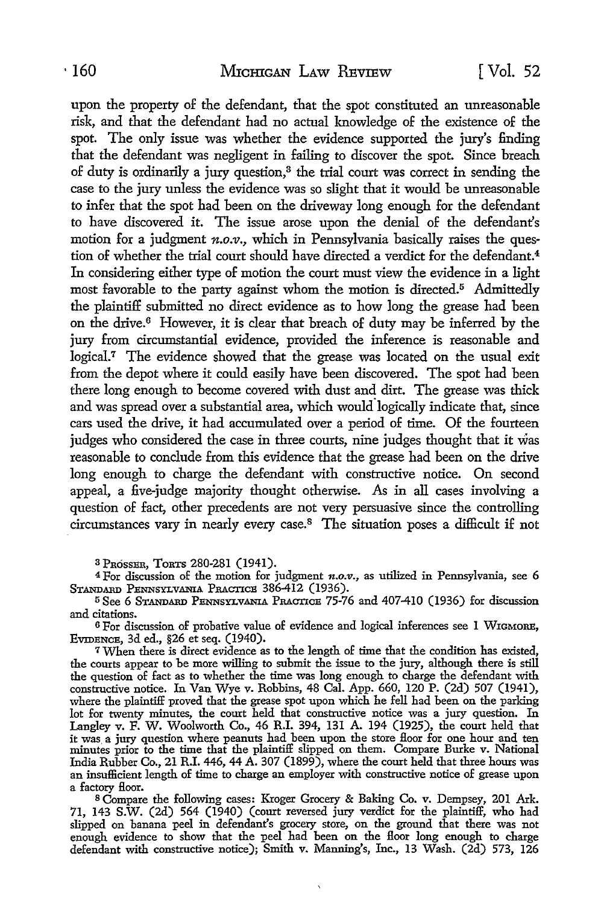upon the property of the defendant, that the spot constituted an unreasonable risk, and that the defendant had no actual knowledge of the existence of the spot. The only issue was whether the evidence supported the jury's finding that the defendant was negligent in failing to discover the spot. Since breach of duty is ordinarily a jury question,<sup>3</sup> the trial court was correct in sending the case to the jury unless the evidence was so slight that it would be unreasonable to infer that the spot had been on the driveway long enough for the defendant to have discovered it. The issue arose upon the denial of the defendant's motion for a judgment *n.o.v.,* which in Pennsylvania basically raises the question of whether the trial court should have directed a verdict for the defendant.<sup>4</sup> In considering either type of motion the court must view the evidence in a light most favorable to the party against whom the motion is directed.5 Admittedly the plaintiff submitted no direct evidence as to how long the grease had been on the drive.6 However, it is clear that breach of duty may be inferred by the jury from circumstantial evidence, provided the inference is reasonable and logical.<sup>7</sup> The evidence showed that the grease was located on the usual exit from the depot where it could easily have been discovered. The spot had been there long enough to become covered with dust and dirt. The grease was thick and was spread over a substantial area, which would°logically indicate that, since cars used the drive, it had accumulated over a period of time. Of the fourteen judges who considered the case in three courts, nine judges thought that it was reasonable to conclude from this evidence that the grease had been on the drive long enough to charge the defendant with constructive notice. On second appeal, a five-judge majority thought otherwise. As in all cases involving a question of fact, other precedents are not very persuasive since the controlling circumstances vary in nearly every case.8 The situation poses a difficult if not

s PROSSER, ToRTS 280-281 (1941).

<sup>4</sup>For discussion of the motion for judgment *n.o.v.,* as utilized in Pennsylvania, see 6 STANDARD PENNSYLVANIA PRACTICE 386-412 (1936).

<sup>5</sup>See 6 STANDARD PENNSYLVANIA PRAcncE 75-76 and 407-410 (1936) for discussion and citations.

6 For discussion of probative value of evidence and logical inferences see 1 WIGMoRE, EVIDENCE, 3d ed., §26 et seq. (1940).

<sup>7</sup>When there is direct evidence as to the length of time that the condition has existed, the courts appear to be more willing to submit the issue to the jury, although there is still the question of fact as to whether the time was long enough to charge the defendant with constructive notice. In Van Wye v. Robbins, 48 Cal. App. 660, 120 P. (2d) 507 (1941), where the plaintiff proved that the grease spot upon which he fell had been on the parking lot for twenty minutes, the court held that constructive notice was a jury question. In Langley v. F. W. Woolworth Co., 46 R.I. 394, 131 A. 194 (1925), the court held that it was. a jury question where peanuts had been upon the store floor for one hour and ten minutes prior to the time that the plaintiff slipped on them. Compare Burke v. National India Rubber Co., 21 R.I. 446, 44 A. 307 (1899), where the court held that three hours was an insufficient length of time to charge an employer with constructive notice of grease upon

a factory floor.<br><sup>8</sup> Compare the following cases: Kroger Grocery & Baking Co. v. Dempsey, 201 Ark. 71, 143 S.W. (2d) 564 (1940) (court reversed jury verdict for the plaintiff, who had slipped on banana peel in defendant's grocery store, on the ground that there was not enough evidence to show that the peel had been on the floor long enough to charge defendant with constructive notice); Smith v. Manning's, Inc., 13 Wash. (2d) 573, 126